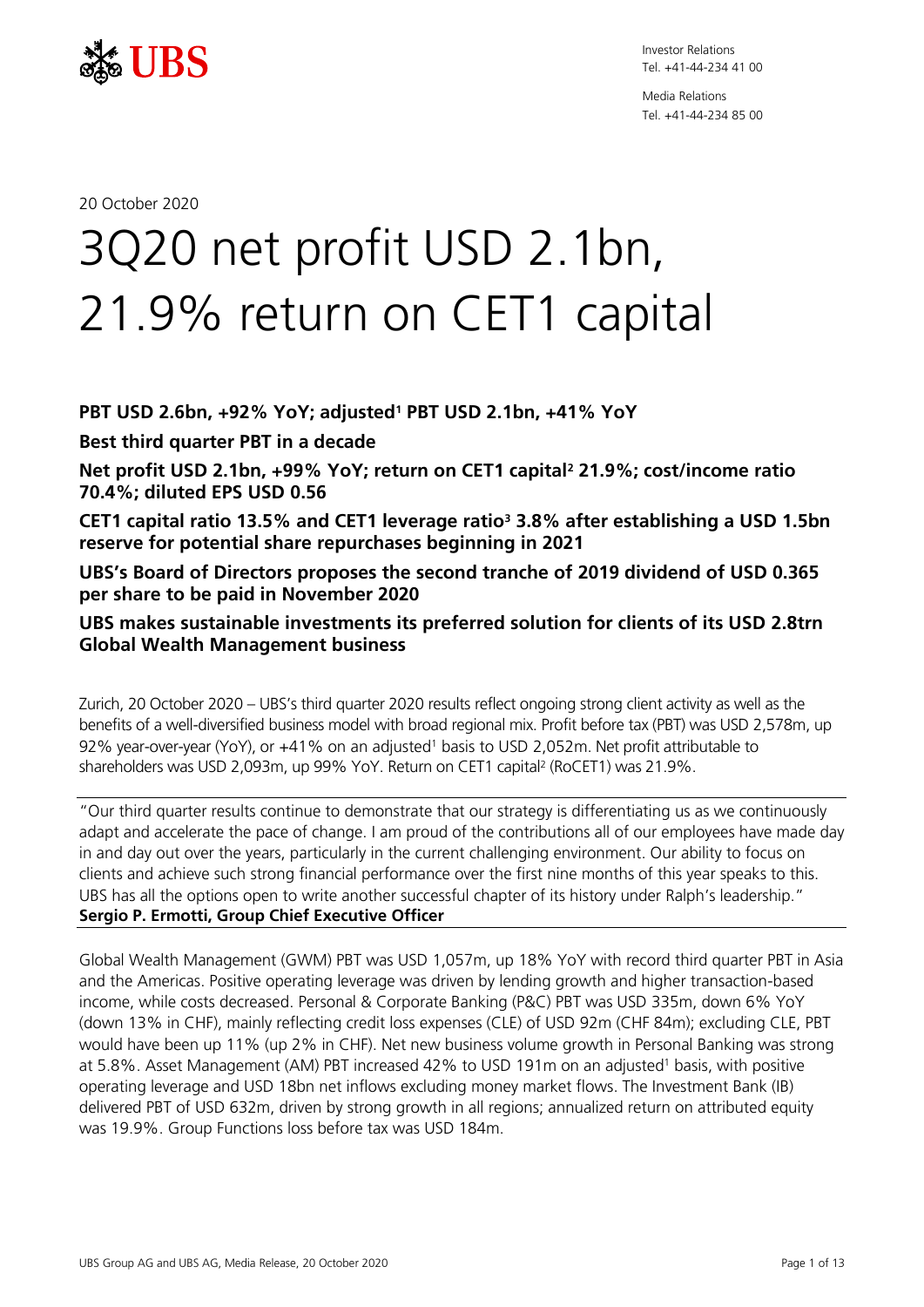

Media Relations Tel. +41-44-234 85 00

20 October 2020

# *0B*3Q20 net profit USD 2.1bn, 21.9% return on CET1 capital

# *2B***PBT USD 2.6bn, +92% YoY; adjusted<sup>1</sup> PBT USD 2.1bn, +41% YoY**

*3B***Best third quarter PBT in a decade**

*4B***Net profit USD 2.1bn, +99% YoY; return on CET1 capital<sup>2</sup> 21.9%; cost/income ratio 70.4%; diluted EPS USD 0.56**

**CET1 capital ratio 13.5% and CET1 leverage ratio<sup>3</sup> 3.8% after establishing a USD 1.5bn reserve for potential share repurchases beginning in 2021**

*8B***UBS's Board of Directors proposes the second tranche of 2019 dividend of USD 0.365 per share to be paid in November 2020**

*6B***UBS makes sustainable investments its preferred solution for clients of its USD 2.8trn Global Wealth Management business**

Zurich, 20 October 2020 – UBS's third quarter 2020 results reflect ongoing strong client activity as well as the benefits of a well-diversified business model with broad regional mix. Profit before tax (PBT) was USD 2,578m, up 92% year-over-year (YoY), or +41% on an adjusted<sup>1</sup> basis to USD 2,052m. Net profit attributable to shareholders was USD 2,093m, up 99% YoY. Return on CET1 capital<sup>2</sup> (RoCET1) was 21.9%.

"Our third quarter results continue to demonstrate that our strategy is differentiating us as we continuously adapt and accelerate the pace of change. I am proud of the contributions all of our employees have made day in and day out over the years, particularly in the current challenging environment. Our ability to focus on clients and achieve such strong financial performance over the first nine months of this year speaks to this. UBS has all the options open to write another successful chapter of its history under Ralph's leadership." **Sergio P. Ermotti, Group Chief Executive Officer**

Global Wealth Management (GWM) PBT was USD 1,057m, up 18% YoY with record third quarter PBT in Asia and the Americas. Positive operating leverage was driven by lending growth and higher transaction-based income, while costs decreased. Personal & Corporate Banking (P&C) PBT was USD 335m, down 6% YoY (down 13% in CHF), mainly reflecting credit loss expenses (CLE) of USD 92m (CHF 84m); excluding CLE, PBT would have been up 11% (up 2% in CHF). Net new business volume growth in Personal Banking was strong at 5.8%. Asset Management (AM) PBT increased 42% to USD 191m on an adjusted<sup>1</sup> basis, with positive operating leverage and USD 18bn net inflows excluding money market flows. The Investment Bank (IB) delivered PBT of USD 632m, driven by strong growth in all regions; annualized return on attributed equity was 19.9%. Group Functions loss before tax was USD 184m.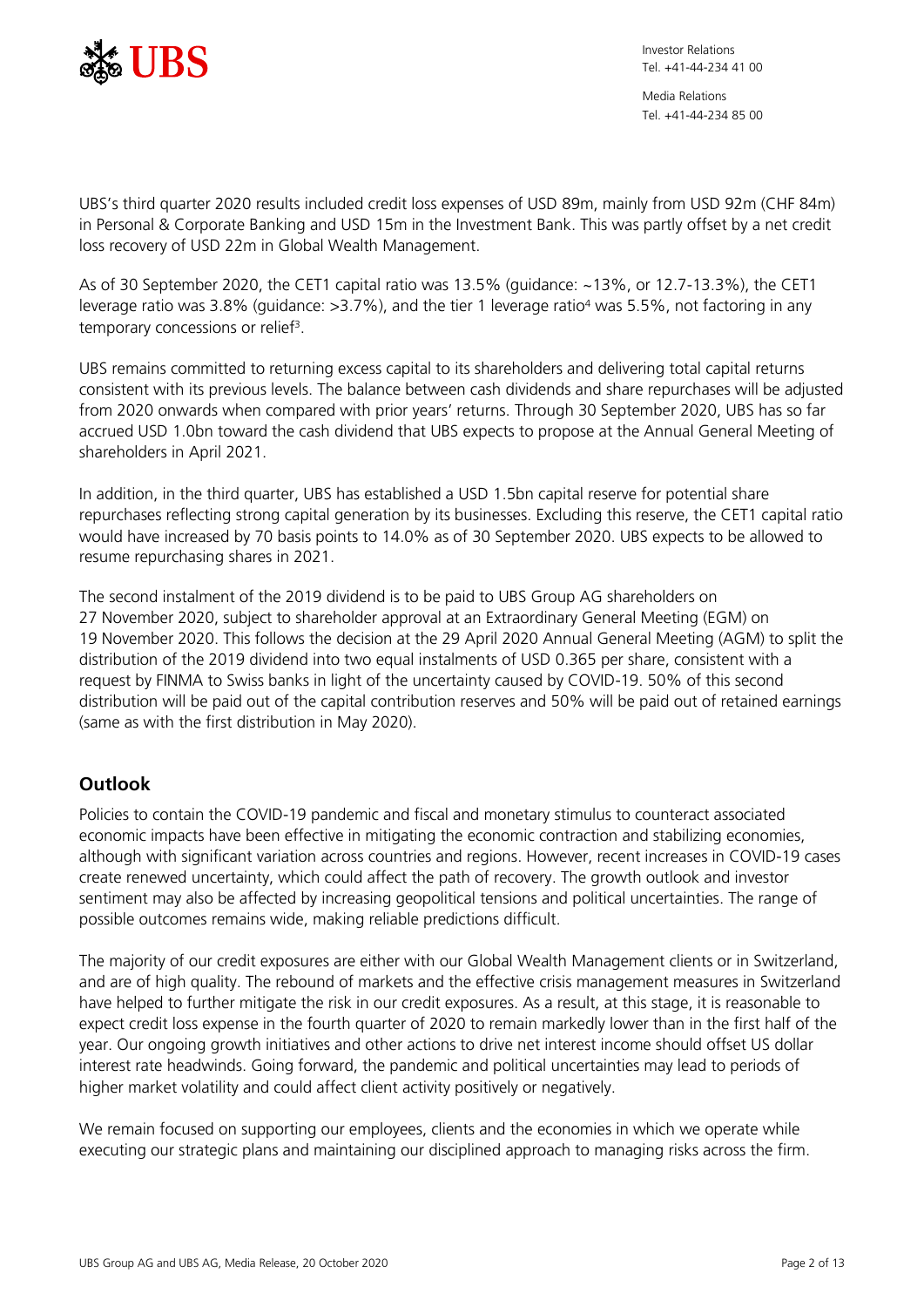

UBS's third quarter 2020 results included credit loss expenses of USD 89m, mainly from USD 92m (CHF 84m) in Personal & Corporate Banking and USD 15m in the Investment Bank. This was partly offset by a net credit loss recovery of USD 22m in Global Wealth Management.

As of 30 September 2020, the CET1 capital ratio was 13.5% (guidance: ~13%, or 12.7-13.3%), the CET1 leverage ratio was 3.8% (guidance: >3.7%), and the tier 1 leverage ratio<sup>4</sup> was 5.5%, not factoring in any temporary concessions or relief<sup>3</sup>.

UBS remains committed to returning excess capital to its shareholders and delivering total capital returns consistent with its previous levels. The balance between cash dividends and share repurchases will be adjusted from 2020 onwards when compared with prior years' returns. Through 30 September 2020, UBS has so far accrued USD 1.0bn toward the cash dividend that UBS expects to propose at the Annual General Meeting of shareholders in April 2021.

In addition, in the third quarter, UBS has established a USD 1.5bn capital reserve for potential share repurchases reflecting strong capital generation by its businesses. Excluding this reserve, the CET1 capital ratio would have increased by 70 basis points to 14.0% as of 30 September 2020. UBS expects to be allowed to resume repurchasing shares in 2021.

The second instalment of the 2019 dividend is to be paid to UBS Group AG shareholders on 27 November 2020, subject to shareholder approval at an Extraordinary General Meeting (EGM) on 19 November 2020. This follows the decision at the 29 April 2020 Annual General Meeting (AGM) to split the distribution of the 2019 dividend into two equal instalments of USD 0.365 per share, consistent with a request by FINMA to Swiss banks in light of the uncertainty caused by COVID-19. 50% of this second distribution will be paid out of the capital contribution reserves and 50% will be paid out of retained earnings (same as with the first distribution in May 2020).

# **Outlook**

Policies to contain the COVID-19 pandemic and fiscal and monetary stimulus to counteract associated economic impacts have been effective in mitigating the economic contraction and stabilizing economies, although with significant variation across countries and regions. However, recent increases in COVID-19 cases create renewed uncertainty, which could affect the path of recovery. The growth outlook and investor sentiment may also be affected by increasing geopolitical tensions and political uncertainties. The range of possible outcomes remains wide, making reliable predictions difficult.

The majority of our credit exposures are either with our Global Wealth Management clients or in Switzerland, and are of high quality. The rebound of markets and the effective crisis management measures in Switzerland have helped to further mitigate the risk in our credit exposures. As a result, at this stage, it is reasonable to expect credit loss expense in the fourth quarter of 2020 to remain markedly lower than in the first half of the year. Our ongoing growth initiatives and other actions to drive net interest income should offset US dollar interest rate headwinds. Going forward, the pandemic and political uncertainties may lead to periods of higher market volatility and could affect client activity positively or negatively.

We remain focused on supporting our employees, clients and the economies in which we operate while executing our strategic plans and maintaining our disciplined approach to managing risks across the firm.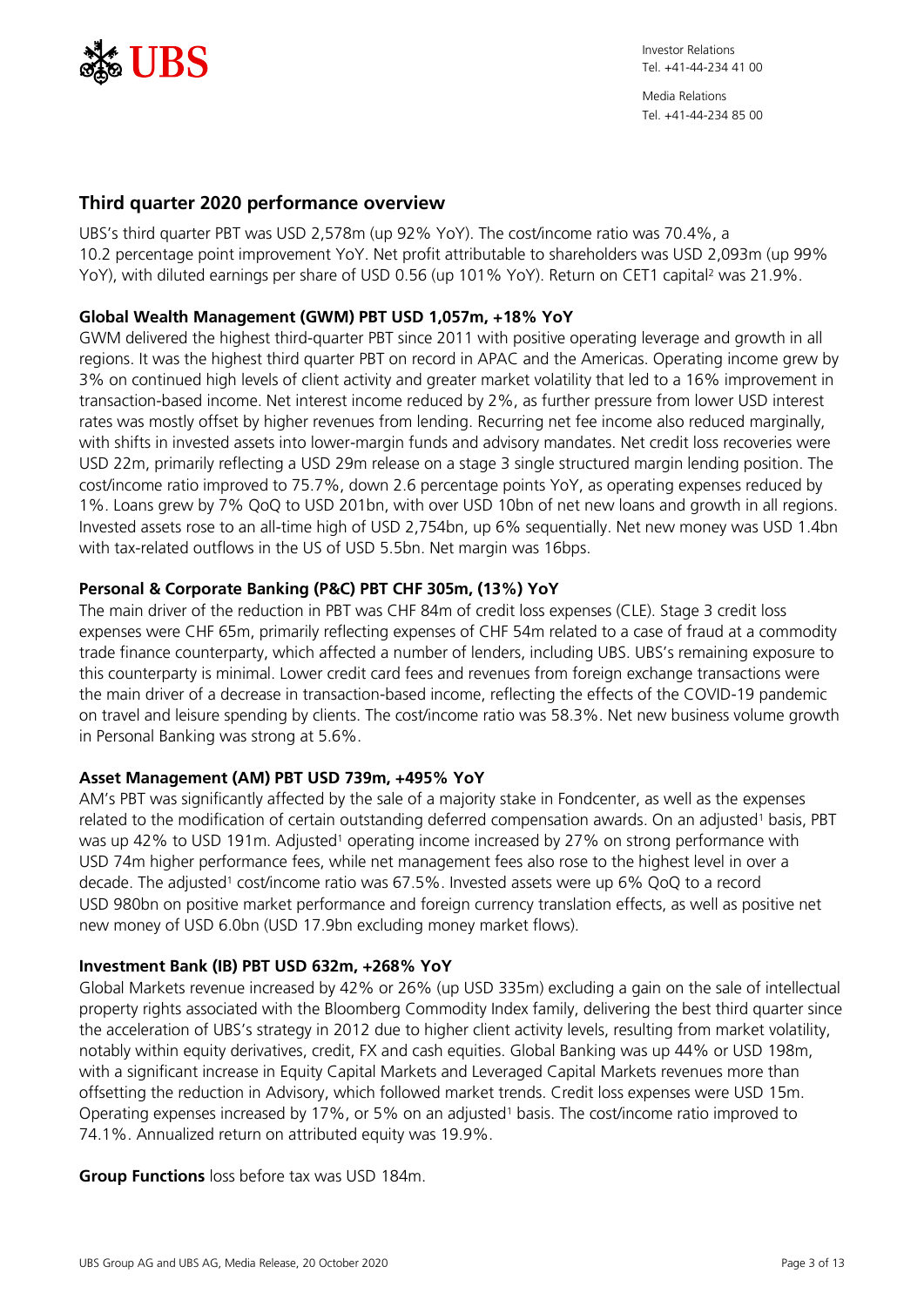

# **Third quarter 2020 performance overview**

UBS's third quarter PBT was USD 2,578m (up 92% YoY). The cost/income ratio was 70.4%, a 10.2 percentage point improvement YoY. Net profit attributable to shareholders was USD 2,093m (up 99% YoY), with diluted earnings per share of USD 0.56 (up 101% YoY). Return on CET1 capital<sup>2</sup> was 21.9%.

## **Global Wealth Management (GWM) PBT USD 1,057m, +18% YoY**

GWM delivered the highest third-quarter PBT since 2011 with positive operating leverage and growth in all regions. It was the highest third quarter PBT on record in APAC and the Americas. Operating income grew by 3% on continued high levels of client activity and greater market volatility that led to a 16% improvement in transaction-based income. Net interest income reduced by 2%, as further pressure from lower USD interest rates was mostly offset by higher revenues from lending. Recurring net fee income also reduced marginally, with shifts in invested assets into lower-margin funds and advisory mandates. Net credit loss recoveries were USD 22m, primarily reflecting a USD 29m release on a stage 3 single structured margin lending position. The cost/income ratio improved to 75.7%, down 2.6 percentage points YoY, as operating expenses reduced by 1%. Loans grew by 7% QoQ to USD 201bn, with over USD 10bn of net new loans and growth in all regions. Invested assets rose to an all-time high of USD 2,754bn, up 6% sequentially. Net new money was USD 1.4bn with tax-related outflows in the US of USD 5.5bn. Net margin was 16bps.

## **Personal & Corporate Banking (P&C) PBT CHF 305m, (13%) YoY**

The main driver of the reduction in PBT was CHF 84m of credit loss expenses (CLE). Stage 3 credit loss expenses were CHF 65m, primarily reflecting expenses of CHF 54m related to a case of fraud at a commodity trade finance counterparty, which affected a number of lenders, including UBS. UBS's remaining exposure to this counterparty is minimal. Lower credit card fees and revenues from foreign exchange transactions were the main driver of a decrease in transaction-based income, reflecting the effects of the COVID-19 pandemic on travel and leisure spending by clients. The cost/income ratio was 58.3%. Net new business volume growth in Personal Banking was strong at 5.6%.

## **Asset Management (AM) PBT USD 739m, +495% YoY**

AM's PBT was significantly affected by the sale of a majority stake in Fondcenter, as well as the expenses related to the modification of certain outstanding deferred compensation awards. On an adjusted<sup>1</sup> basis, PBT was up 42% to USD 191m. Adjusted<sup>1</sup> operating income increased by 27% on strong performance with USD 74m higher performance fees, while net management fees also rose to the highest level in over a decade. The adjusted<sup>1</sup> cost/income ratio was 67.5%. Invested assets were up 6% QoQ to a record USD 980bn on positive market performance and foreign currency translation effects, as well as positive net new money of USD 6.0bn (USD 17.9bn excluding money market flows).

## **Investment Bank (IB) PBT USD 632m, +268% YoY**

Global Markets revenue increased by 42% or 26% (up USD 335m) excluding a gain on the sale of intellectual property rights associated with the Bloomberg Commodity Index family, delivering the best third quarter since the acceleration of UBS's strategy in 2012 due to higher client activity levels, resulting from market volatility, notably within equity derivatives, credit, FX and cash equities. Global Banking was up 44% or USD 198m, with a significant increase in Equity Capital Markets and Leveraged Capital Markets revenues more than offsetting the reduction in Advisory, which followed market trends. Credit loss expenses were USD 15m. Operating expenses increased by 17%, or 5% on an adjusted<sup>1</sup> basis. The cost/income ratio improved to 74.1%. Annualized return on attributed equity was 19.9%.

**Group Functions** loss before tax was USD 184m.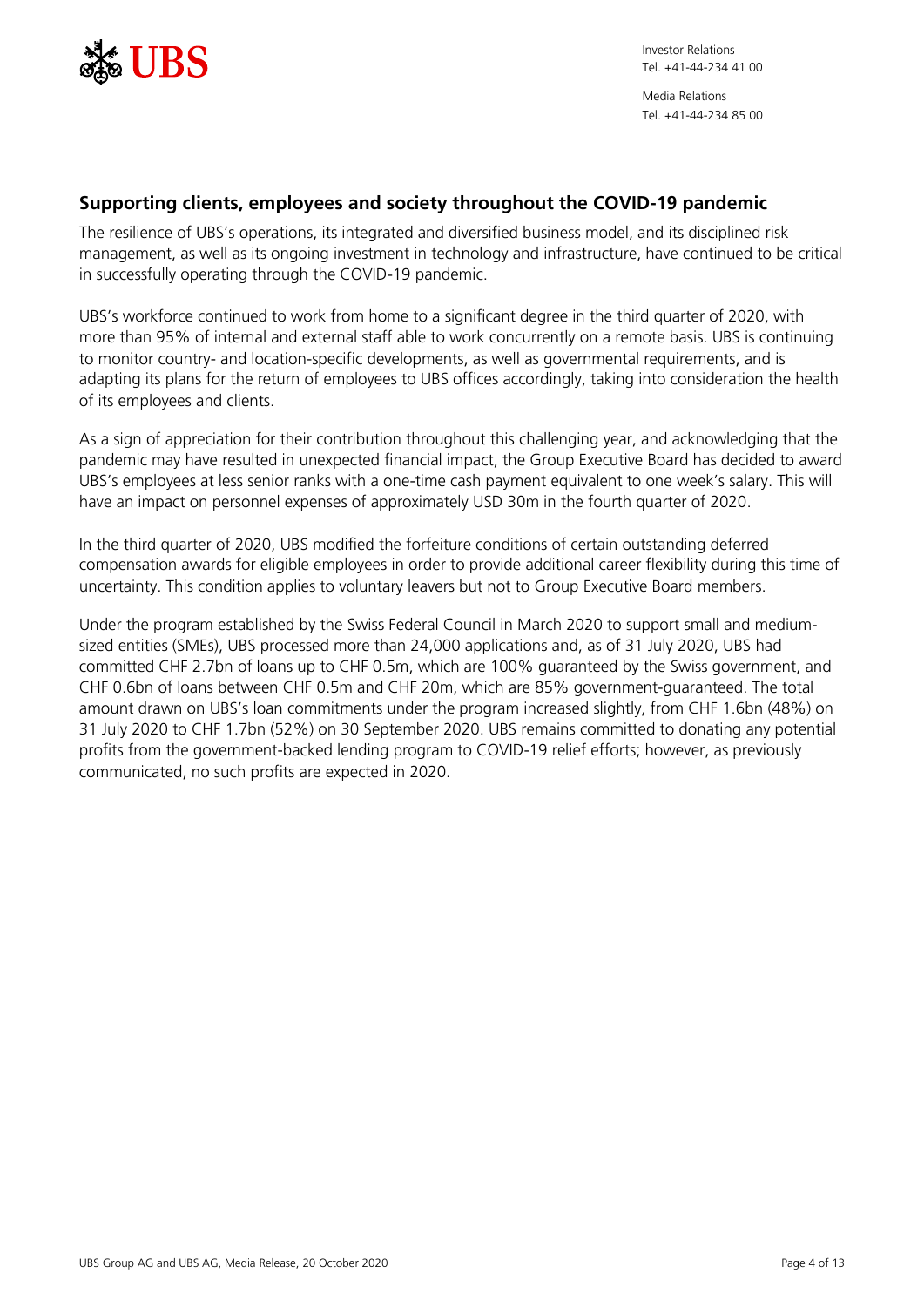

# **Supporting clients, employees and society throughout the COVID-19 pandemic**

The resilience of UBS's operations, its integrated and diversified business model, and its disciplined risk management, as well as its ongoing investment in technology and infrastructure, have continued to be critical in successfully operating through the COVID-19 pandemic.

UBS's workforce continued to work from home to a significant degree in the third quarter of 2020, with more than 95% of internal and external staff able to work concurrently on a remote basis. UBS is continuing to monitor country- and location-specific developments, as well as governmental requirements, and is adapting its plans for the return of employees to UBS offices accordingly, taking into consideration the health of its employees and clients.

As a sign of appreciation for their contribution throughout this challenging year, and acknowledging that the pandemic may have resulted in unexpected financial impact, the Group Executive Board has decided to award UBS's employees at less senior ranks with a one-time cash payment equivalent to one week's salary. This will have an impact on personnel expenses of approximately USD 30m in the fourth quarter of 2020.

In the third quarter of 2020, UBS modified the forfeiture conditions of certain outstanding deferred compensation awards for eligible employees in order to provide additional career flexibility during this time of uncertainty. This condition applies to voluntary leavers but not to Group Executive Board members.

Under the program established by the Swiss Federal Council in March 2020 to support small and mediumsized entities (SMEs), UBS processed more than 24,000 applications and, as of 31 July 2020, UBS had committed CHF 2.7bn of loans up to CHF 0.5m, which are 100% guaranteed by the Swiss government, and CHF 0.6bn of loans between CHF 0.5m and CHF 20m, which are 85% government-guaranteed. The total amount drawn on UBS's loan commitments under the program increased slightly, from CHF 1.6bn (48%) on 31 July 2020 to CHF 1.7bn (52%) on 30 September 2020. UBS remains committed to donating any potential profits from the government-backed lending program to COVID-19 relief efforts; however, as previously communicated, no such profits are expected in 2020.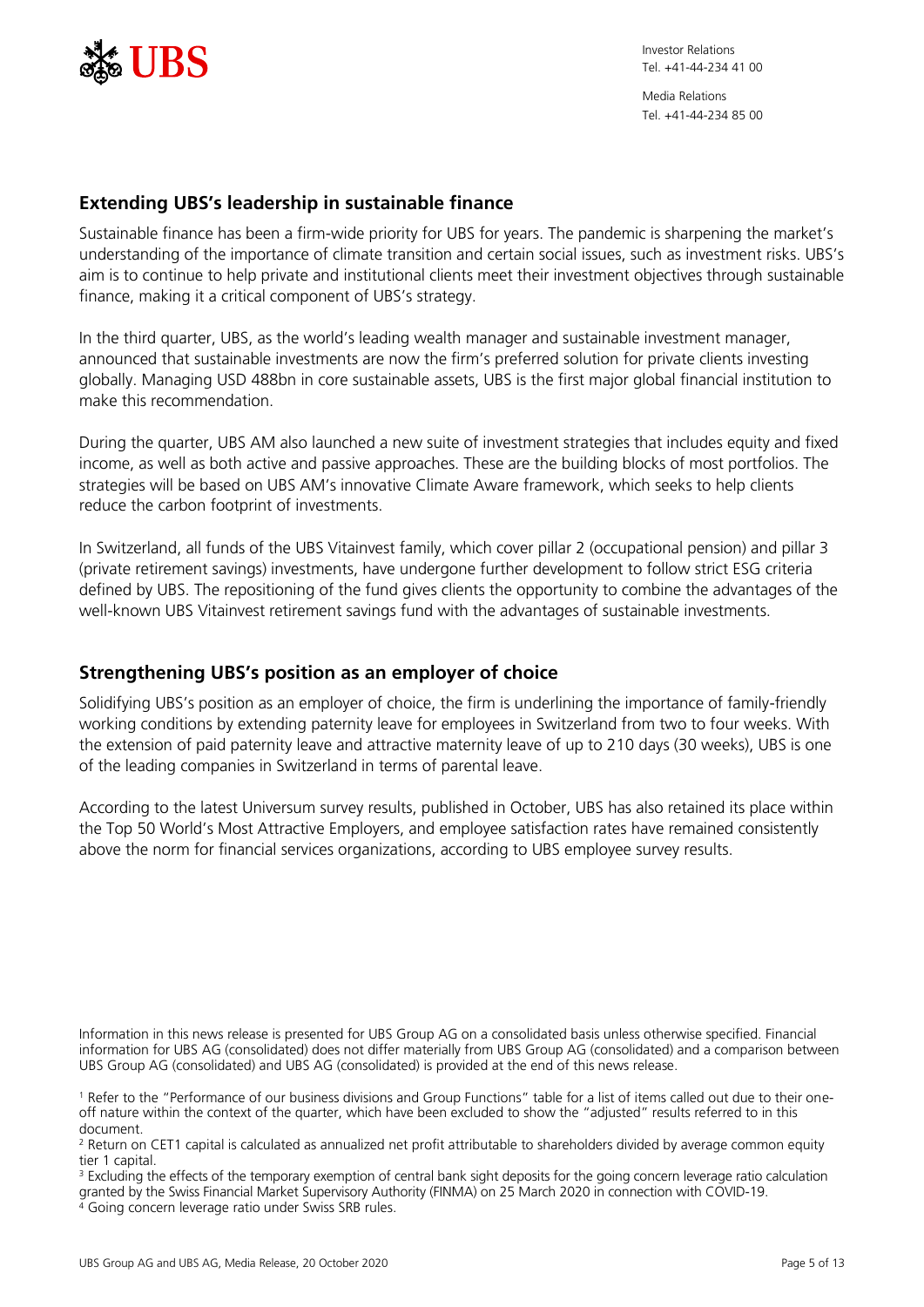

# **Extending UBS's leadership in sustainable finance**

Sustainable finance has been a firm-wide priority for UBS for years. The pandemic is sharpening the market's understanding of the importance of climate transition and certain social issues, such as investment risks. UBS's aim is to continue to help private and institutional clients meet their investment objectives through sustainable finance, making it a critical component of UBS's strategy.

In the third quarter, UBS, as the world's leading wealth manager and sustainable investment manager, announced that sustainable investments are now the firm's preferred solution for private clients investing globally. Managing USD 488bn in core sustainable assets, UBS is the first major global financial institution to make this recommendation.

During the quarter, UBS AM also launched a new suite of investment strategies that includes equity and fixed income, as well as both active and passive approaches. These are the building blocks of most portfolios. The strategies will be based on UBS AM's innovative Climate Aware framework, which seeks to help clients reduce the carbon footprint of investments.

In Switzerland, all funds of the UBS Vitainvest family, which cover pillar 2 (occupational pension) and pillar 3 (private retirement savings) investments, have undergone further development to follow strict ESG criteria defined by UBS. The repositioning of the fund gives clients the opportunity to combine the advantages of the well-known UBS Vitainvest retirement savings fund with the advantages of sustainable investments.

# **Strengthening UBS's position as an employer of choice**

Solidifying UBS's position as an employer of choice, the firm is underlining the importance of family-friendly working conditions by extending paternity leave for employees in Switzerland from two to four weeks. With the extension of paid paternity leave and attractive maternity leave of up to 210 days (30 weeks), UBS is one of the leading companies in Switzerland in terms of parental leave.

According to the latest Universum survey results, published in October, UBS has also retained its place within the Top 50 World's Most Attractive Employers, and employee satisfaction rates have remained consistently above the norm for financial services organizations, according to UBS employee survey results.

Information in this news release is presented for UBS Group AG on a consolidated basis unless otherwise specified. Financial information for UBS AG (consolidated) does not differ materially from UBS Group AG (consolidated) and a comparison between UBS Group AG (consolidated) and UBS AG (consolidated) is provided at the end of this news release.

granted by the Swiss Financial Market Supervisory Authority (FINMA) on 25 March 2020 in connection with COVID-19.

<sup>4</sup> Going concern leverage ratio under Swiss SRB rules.

<sup>1</sup> Refer to the "Performance of our business divisions and Group Functions" table for a list of items called out due to their oneoff nature within the context of the quarter, which have been excluded to show the "adjusted" results referred to in this document.

<sup>&</sup>lt;sup>2</sup> Return on CET1 capital is calculated as annualized net profit attributable to shareholders divided by average common equity tier 1 capital.

<sup>&</sup>lt;sup>3</sup> Excluding the effects of the temporary exemption of central bank sight deposits for the going concern leverage ratio calculation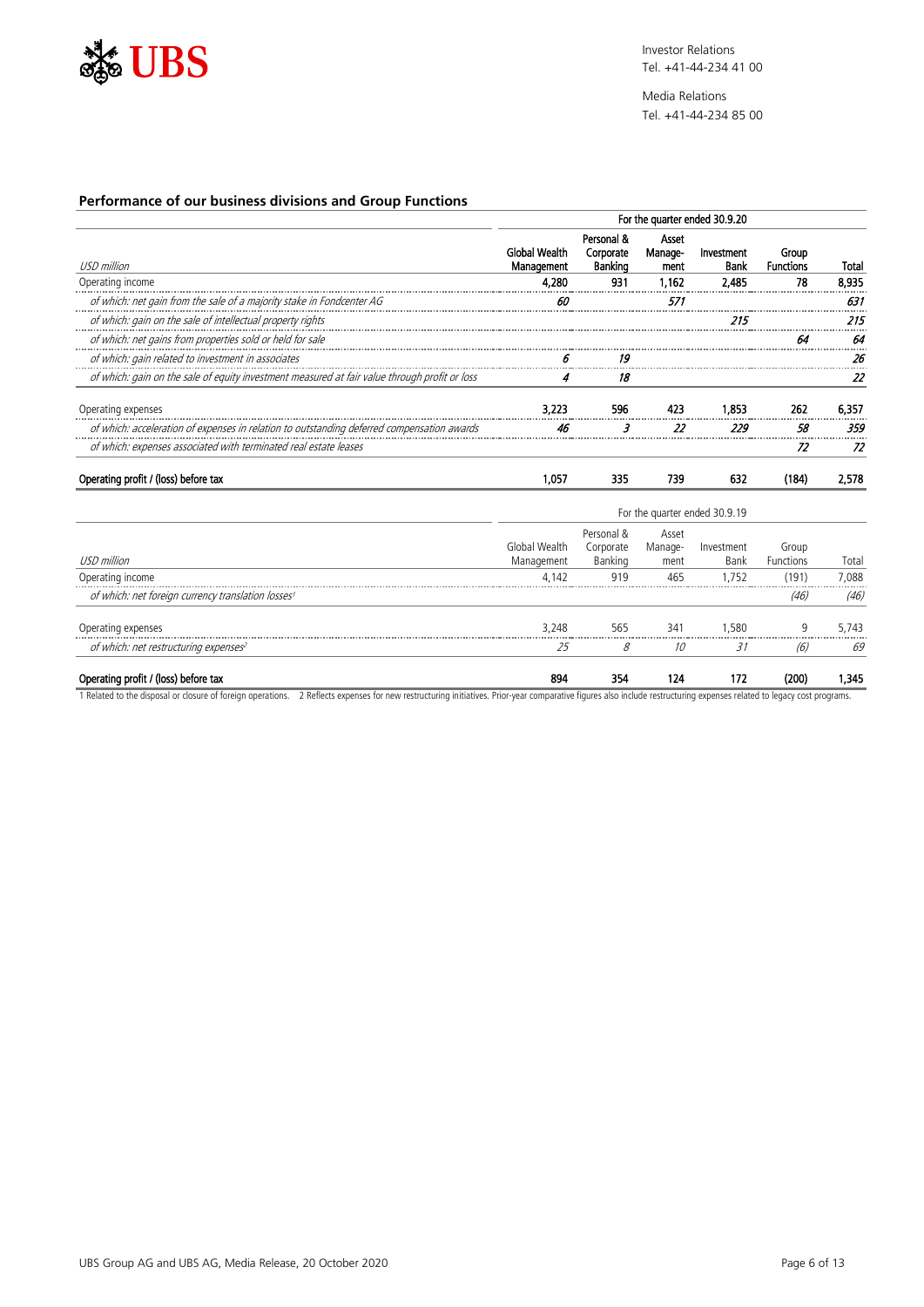

Media Relations Tel. +41-44-234 85 00

## **Performance of our business divisions and Group Functions**

|                                                                                               | For the quarter ended 30.9.20      |                                    |                          |                    |                           |       |
|-----------------------------------------------------------------------------------------------|------------------------------------|------------------------------------|--------------------------|--------------------|---------------------------|-------|
| USD million                                                                                   | <b>Global Wealth</b><br>Management | Personal &<br>Corporate<br>Banking | Asset<br>Manage-<br>ment | Investment<br>Bank | Group<br><b>Functions</b> | Total |
| Operating income                                                                              | 4.280                              | 931                                | 1.162                    | 2.485              | 78                        | 8.935 |
| of which: net gain from the sale of a majority stake in Fondcenter AG                         |                                    |                                    | 57.                      |                    |                           | 63    |
| of which: gain on the sale of intellectual property rights                                    |                                    |                                    |                          | 215                |                           |       |
| of which: net gains from properties sold or held for sale                                     |                                    |                                    |                          |                    |                           |       |
| of which: gain related to investment in associates                                            |                                    | 19                                 |                          |                    |                           |       |
| of which: gain on the sale of equity investment measured at fair value through profit or loss | 4                                  | 18                                 |                          |                    |                           |       |
| Operating expenses                                                                            | 3.223                              | 596                                |                          | 1.853              | 262                       | 6.357 |
| of which: acceleration of expenses in relation to outstanding deferred compensation awards    | 46                                 |                                    | 22                       | 229                | 58                        | 359   |
| of which: expenses associated with terminated real estate leases                              |                                    |                                    |                          |                    | 72                        |       |
| Operating profit / (loss) before tax                                                          | .057                               | 335                                | 739                      | 632                | (184)                     | 2.578 |

|                                                                | For the quarter ended 30.9.19 |                                    |                          |                           |                           |       |
|----------------------------------------------------------------|-------------------------------|------------------------------------|--------------------------|---------------------------|---------------------------|-------|
| USD million                                                    | Global Wealth<br>Management   | Personal &<br>Corporate<br>Banking | Asset<br>Manage-<br>ment | Investment<br><b>Bank</b> | Group<br><b>Functions</b> | Total |
| Operating income                                               | 4.142                         | 919                                | 465                      | 1.752                     | (191)                     | 7.088 |
| of which: net foreign currency translation losses <sup>1</sup> |                               |                                    |                          |                           | (46)                      | (46)  |
| Operating expenses                                             | 3.248                         | 565                                | 341                      | 1.580                     | 9                         | 5.743 |
| of which: net restructuring expenses <sup>2</sup>              | 25                            | 8                                  | 10                       | 31                        | (6)                       | 69    |
| Operating profit / (loss) before tax                           | 894                           | 354                                | 124                      | 172                       | (200)                     | .345  |

1 Related to the disposal or closure of foreign operations. 2 Reflects expenses for new restructuring initiatives. Prior-year comparative figures also include restructuring expenses related to legacy cost programs.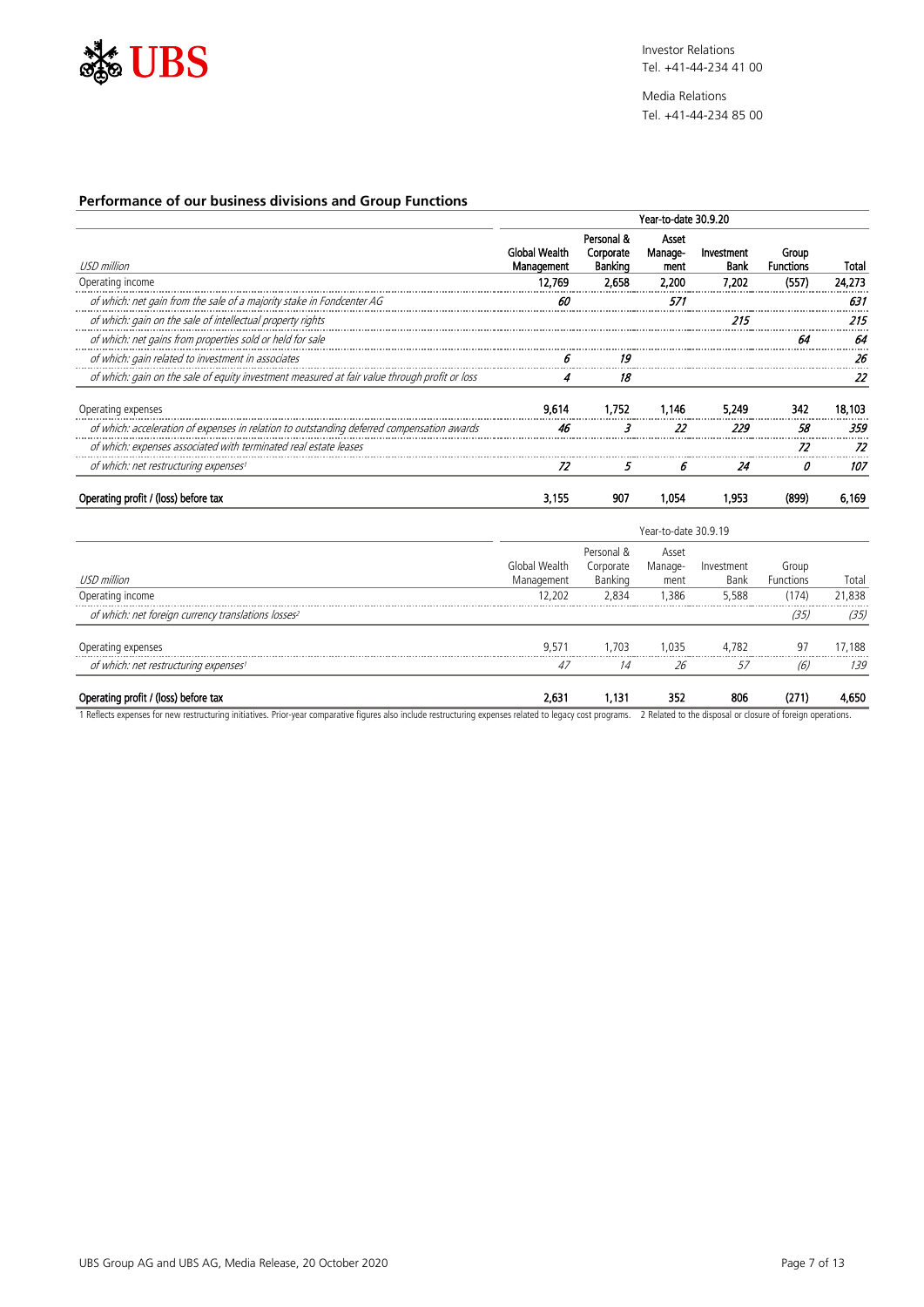

Media Relations Tel. +41-44-234 85 00

## **Performance of our business divisions and Group Functions**

|                                                                                                | Year-to-date 30.9.20        |                                    |                          |                    |                           |        |  |
|------------------------------------------------------------------------------------------------|-----------------------------|------------------------------------|--------------------------|--------------------|---------------------------|--------|--|
| USD million                                                                                    | Global Wealth<br>Management | Personal &<br>Corporate<br>Banking | Asset<br>Manage-<br>ment | Investment<br>Bank | Group<br><b>Functions</b> | Total  |  |
| Operating income                                                                               | 12.769                      | 2.658                              | 2,200                    | 7.202              | (557)                     | 24.273 |  |
| of which: net gain from the sale of a majority stake in Fondcenter AG                          |                             |                                    | 57.                      |                    |                           | 631    |  |
| of which: gain on the sale of intellectual property rights                                     |                             |                                    |                          |                    |                           |        |  |
| of which: net gains from properties sold or held for sale                                      |                             |                                    |                          |                    |                           |        |  |
| of which: gain related to investment in associates                                             |                             | 19                                 |                          |                    |                           |        |  |
| of which: gain on the sale of equity investment measured at fair value through profit or loss  |                             | 18                                 |                          |                    |                           | 22     |  |
| Operating expenses                                                                             | 9.614                       | 1.752                              | 1.146                    | 5,249              | 342                       | 18.103 |  |
| of which: acceleration of expenses in relation to outstanding deferred compensation awards<br> |                             |                                    | 22                       | 229                | 58                        | 359    |  |
| of which: expenses associated with terminated real estate leases                               |                             |                                    |                          |                    |                           |        |  |
| of which: net restructuring expenses <sup>1</sup>                                              | 72                          | 5.                                 | 6                        | 24                 | Ω                         | 107    |  |
| Operating profit / (loss) before tax                                                           | 3.155                       | 907                                | 1.054                    | 1.953              | (899)                     | 6.169  |  |

|                                                                 | Year-to-date 30.9.19        |                                    |                          |                    |                    |        |  |
|-----------------------------------------------------------------|-----------------------------|------------------------------------|--------------------------|--------------------|--------------------|--------|--|
| USD million                                                     | Global Wealth<br>Management | Personal &<br>Corporate<br>Banking | Asset<br>Manage-<br>ment | Investment<br>Bank | Group<br>Functions | Total  |  |
| Operating income                                                | 12.202                      | 2.834                              | 1,386                    | 5,588              | (174)              | 21,838 |  |
| of which: net foreign currency translations losses <sup>2</sup> |                             |                                    |                          |                    | (35)               | (35)   |  |
| Operating expenses                                              | 9,571                       | 1.703                              | 1.035                    | 4.782              | 97                 | 17.188 |  |
| of which: net restructuring expenses <sup>1</sup>               | 47                          | 14                                 | 26                       | 57                 | (6)                | 139    |  |
| Operating profit / (loss) before tax                            | 2,631                       | 1,131                              | 352                      | 806                | (271)              | 4,650  |  |

1 Reflects expenses for new restructuring initiatives. Prior-year comparative figures also include restructuring expenses related to legacy cost programs. 2 Related to the disposal or closure of foreign operations.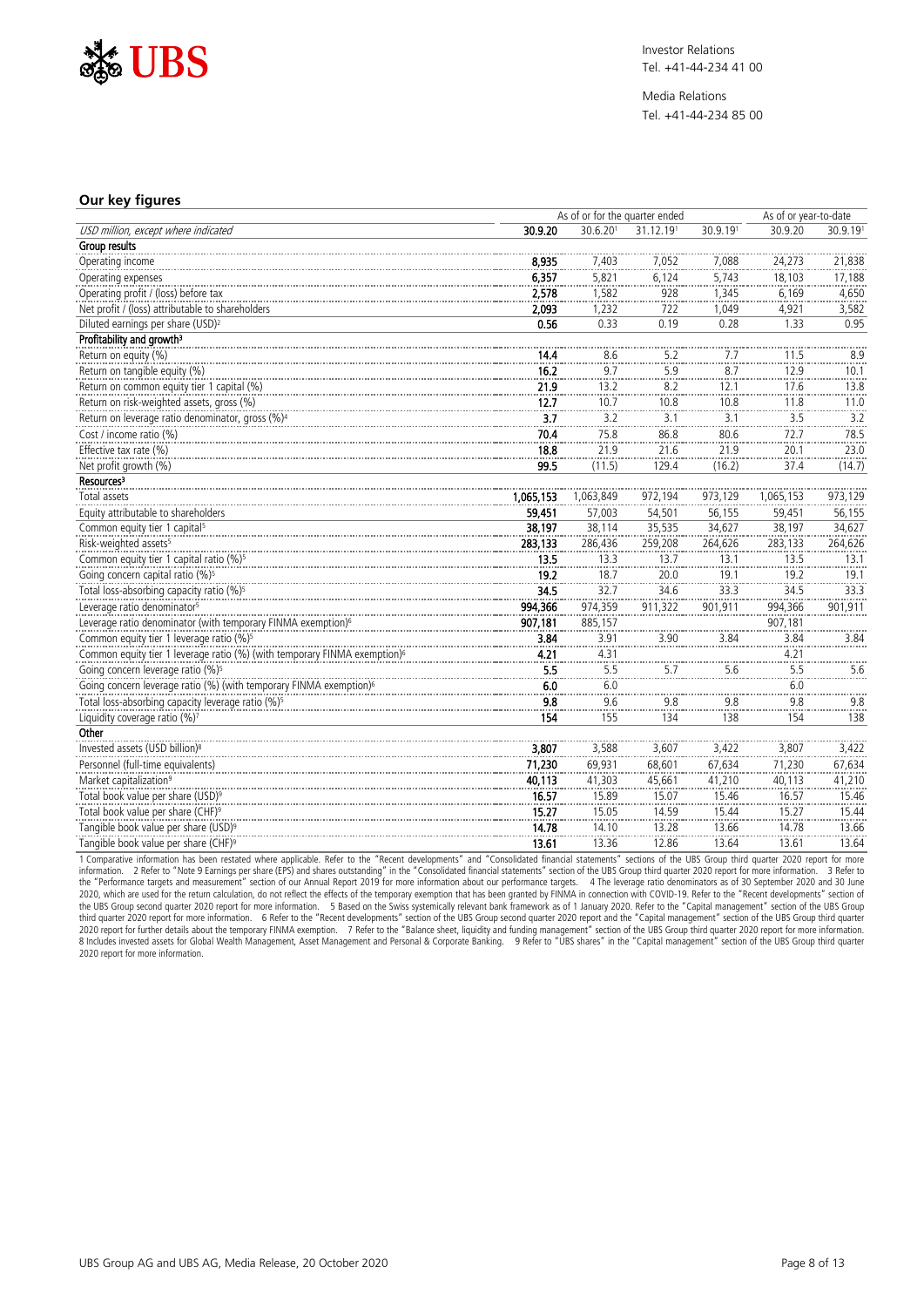

Media Relations Tel. +41-44-234 85 00

#### **Our key figures**

|                                                                                       |           | As of or for the quarter ended |                  |                     | As of or year-to-date |                                              |
|---------------------------------------------------------------------------------------|-----------|--------------------------------|------------------|---------------------|-----------------------|----------------------------------------------|
| USD million, except where indicated                                                   | 30.9.20   | 30.6.201                       | 31.12.191        | 30.9.191            | 30.9.20               | 30.9.191                                     |
| Group results                                                                         |           |                                |                  |                     |                       |                                              |
| Operating income                                                                      | 8,935     | 7,403                          | 7,052            | 7,088               | 24,273                | 21,838                                       |
| Operating expenses                                                                    | 6,357     | 5,821                          | 6,124            | 5,743               | 18,103                | 17,188                                       |
| Operating profit / (loss) before tax                                                  | 2,578     | 1.582                          | 928              | 1,345               | 6,169                 | 4,650                                        |
| Net profit / (loss) attributable to shareholders                                      | 2,093     | 1,232                          | 722              | 1,049               | 4,921                 | 3,582                                        |
| Diluted earnings per share (USD) <sup>2</sup>                                         | 0.56      | 0.33                           | 0.19             | 0.28                | 1.33                  | 0.95                                         |
| Profitability and growth <sup>3</sup>                                                 |           |                                |                  |                     |                       |                                              |
| Return on equity (%)                                                                  | 14.4      | 8.6                            | 5.2              | 7.7                 | 11.5                  | $\frac{8.9}{1}$                              |
| Return on tangible equity (%)                                                         | 16.2      | $\frac{1}{9.7}$                | $rac{3}{5.9}$    | $\frac{1}{8.7}$     | $\frac{1}{12.9}$      | 10.1                                         |
| Return on common equity tier 1 capital (%)                                            | 21.9      | 13.2                           | 8.2              | 12.1                | 17.6                  | 13.8                                         |
| Return on risk-weighted assets, gross (%)                                             | 12.7      | 10.7                           | 10.8             | 10.8                | 11.8                  | 11.0                                         |
| Return on leverage ratio denominator, gross (%) <sup>4</sup>                          | 3.7       | 3.2                            | 3.1              | 3.1                 | 3.5                   | 3.2                                          |
| Cost / income ratio (%)                                                               | 70.4      | 75.8                           | 86.8             | 80.6                | 72.7                  | 78.5                                         |
| Effective tax rate (%)                                                                | 18.8      | 21.9                           | 21.6             | $\frac{23.8}{21.9}$ | 20.1                  | 23.0                                         |
| Net profit growth (%)                                                                 | 99.5      | (11.5)                         | 129.4            | (16.2)              | 37.4                  | (14.7)                                       |
| Resources <sup>3</sup>                                                                |           |                                |                  |                     |                       |                                              |
| Total assets                                                                          | 1,065,153 | 1,063,849                      | 972,194          | 973,129             | 1,065,153             | 973,129                                      |
| Equity attributable to shareholders                                                   | 59,451    | 57,003                         | 54,501           | 56,155              | 59,451                | 56,155                                       |
| Common equity tier 1 capital <sup>5</sup>                                             | 38,197    | 38,114                         | 35,535           | 34,627              | 38,197                | 34,627                                       |
| Risk-weighted assets <sup>5</sup>                                                     | 283,133   | 286,436                        | 259,208          | 264,626             | 283,133               | 264,626                                      |
| Common equity tier 1 capital ratio (%) <sup>5</sup>                                   | 13.5      | 13.3                           | 13.7             | 13.1                | 13.5                  | 13.1                                         |
| Going concern capital ratio (%) <sup>5</sup>                                          | 19.2      | 18.7                           | 20.0             | 19.1                | 19.2                  | 19.1                                         |
| Total loss-absorbing capacity ratio (%) <sup>5</sup>                                  | 34.5      | 32.7                           | 34.6             | 33.3                | 34.5                  | 33.3                                         |
| Leverage ratio denominator <sup>5</sup>                                               | 994,366   | 974,359                        | 911,322          | 901,911             | 994,366               | 901,911                                      |
| Leverage ratio denominator (with temporary FINMA exemption) <sup>6</sup>              | 907,181   | 885,157                        |                  |                     | 907,181               |                                              |
| Common equity tier 1 leverage ratio (%) <sup>5</sup>                                  | 3.84      | 3.91                           | $\frac{3.90}{1}$ | 3.84                | 3.84                  | $\begin{array}{c} 3.84 \\ -2.84 \end{array}$ |
| Common equity tier 1 leverage ratio (%) (with temporary FINMA exemption) <sup>6</sup> | 4.21      | 4.31                           |                  |                     | 4.21                  |                                              |
| Going concern leverage ratio (%) <sup>5</sup>                                         | 5.5       | 5.5                            | 5.7              | 5.6                 | 5.5                   | 5.6                                          |
| Going concern leverage ratio (%) (with temporary FINMA exemption) <sup>6</sup>        | 6.0       | 6.0                            |                  |                     | 6.0                   |                                              |
| Total loss-absorbing capacity leverage ratio (%) <sup>5</sup>                         | 9.8       | 9.6                            | 9.8              | 9.8                 | 9.8                   | 9.8                                          |
| Liquidity coverage ratio (%)7                                                         | 154       | <br>155                        | 134              | 138                 | $\frac{1}{154}$       | 138                                          |
| Other                                                                                 |           |                                |                  |                     |                       |                                              |
| Invested assets (USD billion) <sup>8</sup>                                            | 3,807     | 3.588                          | 3,607            | 3,422               | 3,807                 | 3,422                                        |
| Personnel (full-time equivalents)                                                     | 71,230    | 69,931                         | 68,601           | 67,634              | 71,230                | 67,634                                       |
| Market capitalization <sup>9</sup>                                                    | 40,113    | 41,303                         | 45,661           | 41,210              | 40,113                | 41,210                                       |
| Total book value per share (USD) <sup>9</sup>                                         | 16.57     | 15.89                          | 15.07            | 15.46               | 16.57                 | 15.46                                        |
| Total book value per share (CHF) <sup>9</sup>                                         | 15.27     | 15.05                          | 14.59            | 15.44               | 15.27                 | 15.44                                        |
| Tangible book value per share (USD) <sup>9</sup>                                      | 14.78     | 14.10                          | 13.28            | 13.66               | 14.78                 | 13.66                                        |
| Tangible book value per share (CHF) <sup>9</sup>                                      | 13.61     | 13.36                          | 12.86            | 13.64               | 13.61                 | 13.64                                        |

1 Comparative information has been restated where applicable. Refer to the "Recent developments" and "Consolidated financial statements" sections of the UBS Group third quarter 2020 report for more information. 2 Refer to "Note 9 Earnings per share (EPS) and shares outstanding" in the "Consolidated financial statements" section of the UBS Group third quarter 2020 report for more information. 3 Refer to<br>the "Performan the UBS Group second quarter 2020 report for more information. 5 Based on the Swiss systemically relevant bank framework as of 1 January 2020. Refer to the "Capital management" section of the UBS Group<br>2020 report for tur 2020 report for more information.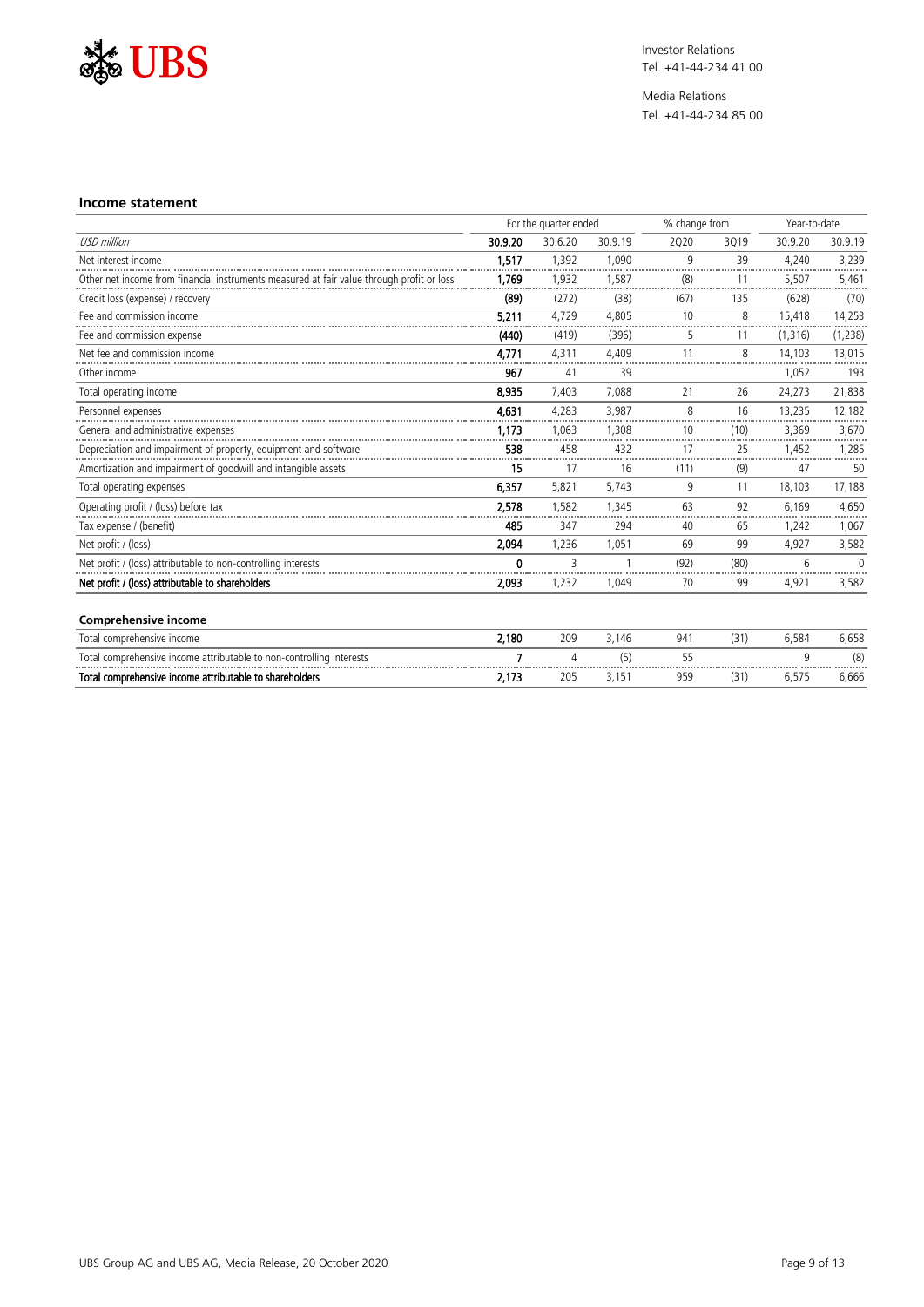

Media Relations Tel. +41-44-234 85 00

#### **Income statement**

|                                                                                           | For the quarter ended |         |         |      | % change from |          | Year-to-date |  |
|-------------------------------------------------------------------------------------------|-----------------------|---------|---------|------|---------------|----------|--------------|--|
| <b>USD</b> million                                                                        | 30.9.20               | 30.6.20 | 30.9.19 | 2020 | 3019          | 30.9.20  | 30.9.19      |  |
| Net interest income                                                                       | 1,517                 | 1,392   | 1.090   | 9    | 39            | 4,240    | 3,239        |  |
| Other net income from financial instruments measured at fair value through profit or loss | 1,769                 | 1.932   | 1,587   | (8)  | 11            | 5,507    | 5,461        |  |
| Credit loss (expense) / recovery                                                          | (89)                  | (272)   | (38)    | (67) | 135           | (628)    | (70)         |  |
| Fee and commission income                                                                 | 5.211                 | 4.729   | 4.805   | 10   | 8             | 15.418   | 14,253       |  |
| Fee and commission expense                                                                | (440)                 | (419)   | (396)   | 5    | 11            | (1, 316) | (1, 238)     |  |
| Net fee and commission income                                                             | 4.771                 | 4.311   | 4.409   | 11   | 8             | 14.103   | 13,015       |  |
| Other income                                                                              | 967                   | 41      | 39      |      |               | 1,052    | 193          |  |
| Total operating income                                                                    | 8,935                 | 7,403   | 7,088   | 21   | 26            | 24,273   | 21,838       |  |
| Personnel expenses                                                                        | 4,631                 | 4,283   | 3.987   | 8    | 16            | 13,235   | 12,182       |  |
| General and administrative expenses                                                       | 1.173                 | 1.063   | 1,308   | 10   | (10)          | 3,369    | 3,670        |  |
| Depreciation and impairment of property, equipment and software                           | 538                   | 458     | 432     | 17   | 25            | 1.452    | 1.285        |  |
| Amortization and impairment of goodwill and intangible assets                             | 15                    | 17      | 16      | (11) | (9)           | 47       | 50           |  |
| Total operating expenses                                                                  | 6.357                 | 5,821   | 5,743   | 9    | 11            | 18,103   | 17,188       |  |
| Operating profit / (loss) before tax                                                      | 2,578                 | 1.582   | 1.345   | 63   | 92            | 6.169    | 4,650        |  |
| Tax expense / (benefit)                                                                   | 485                   | 347     | 294     | 40   | 65            | 1.242    | 1,067        |  |
| Net profit / (loss)                                                                       | 2,094                 | 1,236   | 1,051   | 69   | 99            | 4,927    | 3,582        |  |
| Net profit / (loss) attributable to non-controlling interests                             | $\Omega$              | ξ       | 1       | (92) | (80)          | 6        | $\Omega$     |  |
| Net profit / (loss) attributable to shareholders                                          | 2,093                 | 1,232   | 1,049   | 70   | 99            | 4,921    | 3,582        |  |
| <b>Comprehensive income</b>                                                               |                       |         |         |      |               |          |              |  |
| Total comprehensive income                                                                | 2,180                 | 209     | 3,146   | 941  | (31)          | 6,584    | 6,658        |  |
| Total comprehensive income attributable to non-controlling interests                      |                       |         | (5)     | 55   |               | q        | (8)          |  |
| Total comprehensive income attributable to shareholders                                   | 2.173                 | 205     | 3.151   | 959  | (31)          | 6.575    | 6.666        |  |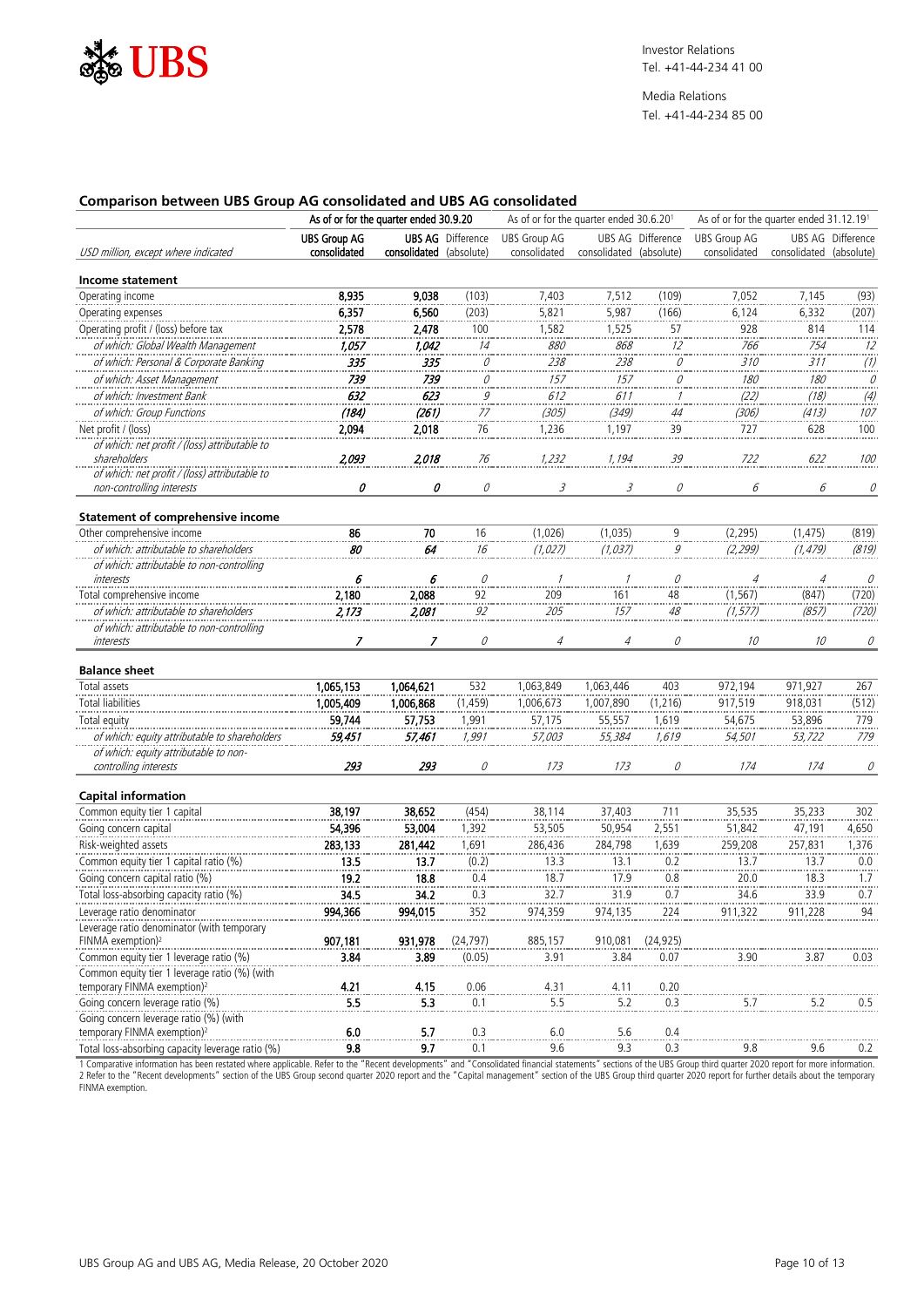

### **Comparison between UBS Group AG consolidated and UBS AG consolidated**

|                                                  |                     | As of or for the quarter ended 30.9.20 |                          | As of or for the quarter ended 31.12.191<br>As of or for the quarter ended 30.6.201 |                         |                          |                     |                         |                   |
|--------------------------------------------------|---------------------|----------------------------------------|--------------------------|-------------------------------------------------------------------------------------|-------------------------|--------------------------|---------------------|-------------------------|-------------------|
|                                                  | <b>UBS Group AG</b> |                                        | <b>UBS AG</b> Difference | <b>UBS Group AG</b>                                                                 |                         | <b>UBS AG Difference</b> | <b>UBS Group AG</b> |                         | UBS AG Difference |
| USD million, except where indicated              | consolidated        | consolidated (absolute)                |                          | consolidated                                                                        | consolidated (absolute) |                          | consolidated        | consolidated (absolute) |                   |
| Income statement                                 |                     |                                        |                          |                                                                                     |                         |                          |                     |                         |                   |
| Operating income                                 | 8,935               | 9,038                                  | (103)                    | 7,403                                                                               | 7,512                   | (109)                    | 7,052               | 7,145                   | (93)              |
| Operating expenses                               | 6,357               | 6,560                                  | (203)                    | 5,821                                                                               | 5,987                   | (166)                    | 6,124               | 6,332                   | (207)             |
|                                                  |                     |                                        |                          |                                                                                     |                         |                          |                     |                         |                   |
| Operating profit / (loss) before tax             | 2,578               | 2,478                                  | 100                      | 1,582                                                                               | 1,525                   | $\frac{57}{1}$           | 928                 | 814                     | 114               |
| of which: Global Wealth Management               | 1,057               | 1,042                                  | 14                       | 880                                                                                 | 868                     | 12                       | 766                 | 754                     | 12                |
| of which: Personal & Corporate Banking           | 335                 | 335                                    | $\mathcal{Q}$            | 238                                                                                 | 238                     | $\mathcal O$             | 310                 | 311                     | $\binom{n}{k}$    |
| of which: Asset Management                       | 739                 | 739                                    | 0                        | 157                                                                                 | 157                     | 0<br>a a s               | 180                 | 180                     | О                 |
| of which: Investment Bank                        | 632                 | 623                                    | $\frac{9}{77}$           | 612                                                                                 | 611                     | 1<br>.                   | (22)                | (18)                    | $\frac{1}{4}$     |
| of which: Group Functions                        | (184)               | (261)                                  |                          | (305)                                                                               | (349)                   | 44                       | (306)               | (413)                   | 107               |
| Net profit / (loss)                              | 2,094               | 2,018                                  | <br>76                   | 1,236                                                                               | 1,197                   | 39                       | 727                 | 628                     | 100               |
| of which: net profit / (loss) attributable to    |                     |                                        |                          |                                                                                     |                         |                          |                     |                         |                   |
| shareholders                                     | 2,093               | 2,018                                  | 76                       | 1,232                                                                               | 1,194                   | 39                       | 722                 | 622                     | 100               |
| of which: net profit / (loss) attributable to    |                     |                                        |                          |                                                                                     |                         |                          |                     |                         |                   |
| non-controlling interests                        | 0                   | 0                                      | $\mathcal O$             | 3                                                                                   | 3                       | $\mathcal O$             | 6                   | 6                       | О                 |
| <b>Statement of comprehensive income</b>         |                     |                                        |                          |                                                                                     |                         |                          |                     |                         |                   |
| Other comprehensive income                       | 86                  | 70                                     | 16                       | (1,026)                                                                             | (1,035)                 | 9                        | (2, 295)            | (1, 475)                | (819)             |
| of which: attributable to shareholders           | $\overline{80}$     | 64                                     | 16                       | (1, 027)                                                                            | (1, 037)                | $\ddot{g}$               | (2, 299)            | (1, 479)                | (819)             |
| of which: attributable to non-controlling        |                     |                                        |                          |                                                                                     |                         |                          |                     |                         |                   |
| interests                                        | 6                   | 6                                      | $\mathcal O$             |                                                                                     |                         | 0                        | $\overline{4}$      | $\overline{4}$          | 0                 |
| Total comprehensive income                       | 2,180               | 2,088                                  | 92                       | 209                                                                                 | 161                     | 48                       | (1, 567)            | (847)                   | (720)             |
| of which: attributable to shareholders           | 2,173               | 2,081                                  | 92                       | 205                                                                                 | 157                     | 48                       | (1, 577)            | (857)                   | (720)             |
| of which: attributable to non-controlling        |                     |                                        |                          |                                                                                     |                         |                          |                     |                         |                   |
| interests                                        | 7                   | 7                                      | 0                        | $\overline{4}$                                                                      | $\overline{4}$          | 0                        | 10                  | 10                      | 0                 |
|                                                  |                     |                                        |                          |                                                                                     |                         |                          |                     |                         |                   |
| <b>Balance sheet</b>                             |                     |                                        |                          |                                                                                     |                         |                          |                     |                         |                   |
| Total assets                                     | 1,065,153           | 1,064,621                              | 532                      | 1,063,849                                                                           | 1,063,446               | 403                      | 972,194             | 971,927                 | 267               |
| <b>Total liabilities</b>                         | 1,005,409           | 1,006,868                              | (1, 459)                 | 1,006,673                                                                           | 1,007,890               | (1, 216)                 | 917,519             | 918,031                 | (512)             |
| Total equity                                     | 59,744              | 57,753                                 | 1,991                    | 57,175                                                                              | 55,557                  | 1,619                    | 54,675              | 53,896                  | 779               |
| of which: equity attributable to shareholders    | 59,451              | 57,461                                 | 1,991                    | <i>57,003</i>                                                                       | 55,384                  | 1,619                    | 54,501              | 53,722                  | 779               |
| of which: equity attributable to non-            |                     |                                        |                          |                                                                                     |                         |                          |                     |                         |                   |
| controlling interests                            | 293                 | 293                                    | 0                        | 173                                                                                 | 173                     | 0                        | 174                 | 174                     | 0                 |
|                                                  |                     |                                        |                          |                                                                                     |                         |                          |                     |                         |                   |
| <b>Capital information</b>                       |                     |                                        |                          |                                                                                     |                         |                          |                     |                         |                   |
| Common equity tier 1 capital                     | 38,197              | 38,652                                 | (454)                    | 38,114                                                                              | 37,403                  | 711                      | 35,535              | 35,233                  | 302               |
| Going concern capital                            | 54,396              | 53,004                                 | 1,392                    | 53,505                                                                              | 50,954                  | 2,551                    | 51,842              | 47,191                  | 4,650             |
| Risk-weighted assets                             | 283,133             | 281,442                                | 1,691                    | 286,436                                                                             | 284,798                 | 1,639                    | 259,208             | 257,831                 | 1,376             |
| Common equity tier 1 capital ratio (%)           | 13.5                | 13.7                                   | (0.2)                    | 13.3                                                                                | 13.1                    | 0.2                      | 13.7                | 13.7                    | 0.0               |
| Going concern capital ratio (%)                  | 19.2                | 18.8                                   | 0.4                      | 18.7                                                                                | 17.9                    | 0.8                      | 20.0                | 18.3                    | 1.7               |
| Total loss-absorbing capacity ratio (%)          | 34.5                | 34.2                                   | 0.3                      | 32.7                                                                                | 31.9                    | 0.7                      | 34.6                | 33.9                    | 0.7               |
| Leverage ratio denominator                       | 994,366             | 994,015                                | 352                      | 974,359                                                                             | 974,135                 | 224                      | 911,322             | 911,228                 | 94                |
| Leverage ratio denominator (with temporary       |                     |                                        |                          |                                                                                     |                         |                          |                     |                         |                   |
| FINMA exemption) <sup>2</sup>                    | 907,181             | 931,978                                | (24, 797)                | 885,157                                                                             | 910,081                 | (24, 925)                |                     |                         |                   |
| Common equity tier 1 leverage ratio (%)          | 3.84                | 3.89                                   | (0.05)                   | 3.91                                                                                | 3.84                    | 0.07                     | 3.90                | 3.87                    | 0.03              |
| Common equity tier 1 leverage ratio (%) (with    |                     |                                        |                          |                                                                                     |                         |                          |                     |                         |                   |
| temporary FINMA exemption) <sup>2</sup>          | 4.21                | 4.15                                   | 0.06                     | 4.31                                                                                | 4.11                    | 0.20                     |                     |                         |                   |
| Going concern leverage ratio (%)                 | 5.5                 | 5.3                                    | 0.1                      | 5.5                                                                                 | 5.2                     | 0.3                      | 5.7                 | 5.2                     | 0.5               |
| Going concern leverage ratio (%) (with           |                     |                                        |                          |                                                                                     |                         |                          |                     |                         |                   |
| temporary FINMA exemption) <sup>2</sup>          | $6.0\,$             | 5.7                                    | 0.3                      | 6.0                                                                                 | $5.6$                   | 0.4                      |                     |                         |                   |
| Total loss-absorbing capacity leverage ratio (%) | 9.8                 | 9.7                                    | 0.1                      | 9.6                                                                                 | 9.3                     | 0.3                      | 9.8                 | 9.6                     | 0.2               |

1 Comparative information has been restated where applicable. Refer to the "Recent developments" and "Consolidated financial statements" sections of the UBS Group third quarter 2020 report for more information.<br>2 Refer to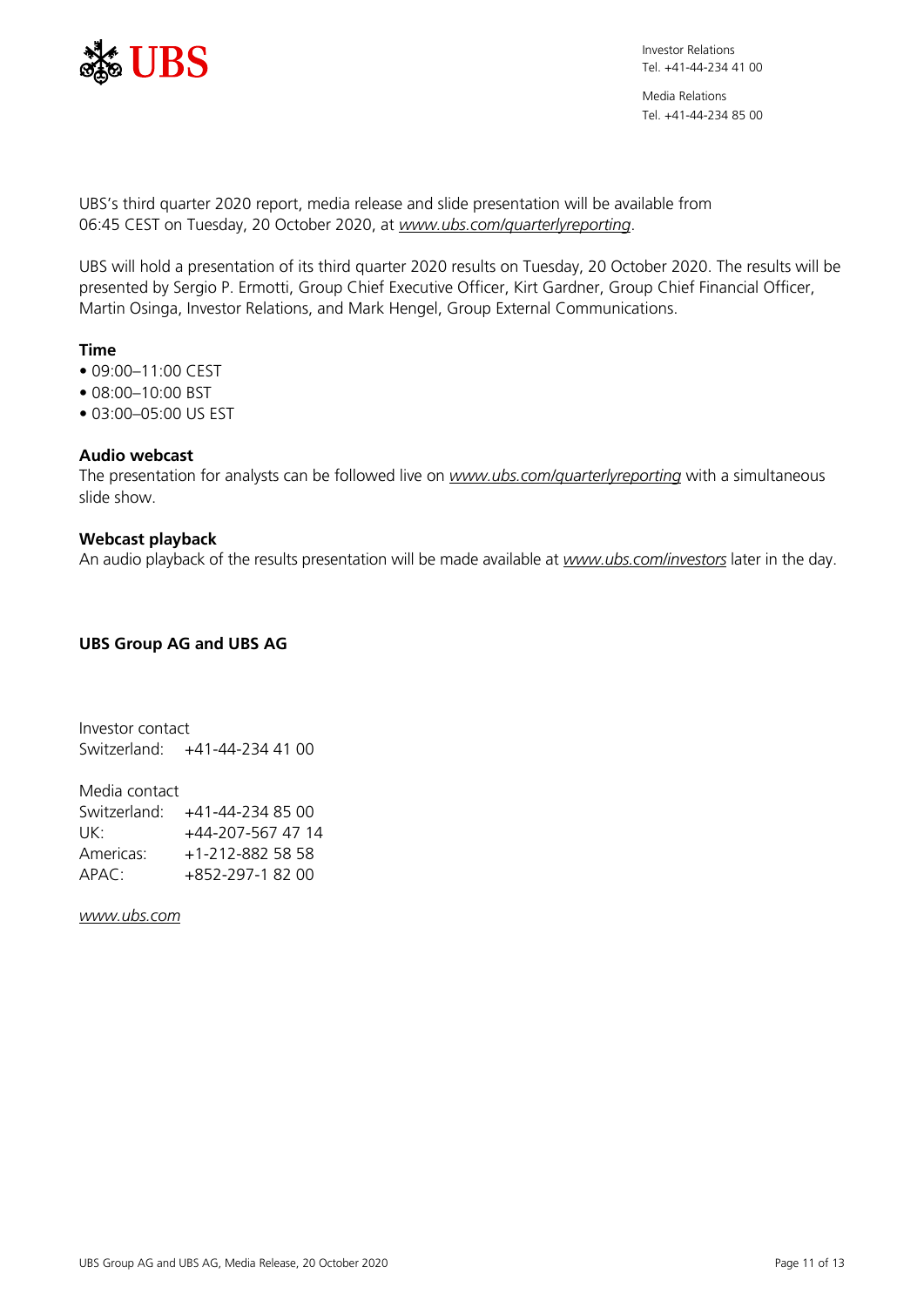

Media Relations Tel. +41-44-234 85 00

UBS's third quarter 2020 report, media release and slide presentation will be available from 06:45 CEST on Tuesday, 20 October 2020, at *[www.ubs.com/quarterlyreporting](https://www.ubs.com/quarterlyreporting)*.

UBS will hold a presentation of its third quarter 2020 results on Tuesday, 20 October 2020. The results will be presented by Sergio P. Ermotti, Group Chief Executive Officer, Kirt Gardner, Group Chief Financial Officer, Martin Osinga, Investor Relations, and Mark Hengel, Group External Communications.

## **Time**

- 09:00–11:00 CEST
- 08:00–10:00 BST
- 03:00–05:00 US EST

## **Audio webcast**

The presentation for analysts can be followed live on *[www.ubs.com/quarterlyreporting](https://www.ubs.com/quarterlyreporting)* with a simultaneous slide show.

## **Webcast playback**

An audio playback of the results presentation will be made available at *[www.ubs.com/investors](https://www.ubs.com/investors)* later in the day.

## **UBS Group AG and UBS AG**

Investor contact Switzerland: +41-44-234 41 00

Media contact Switzerland: +41-44-234 85 00 UK: +44-207-567 47 14 Americas: +1-212-882 58 58 APAC: +852-297-1 82 00

*[www.ubs.com](https://www.ubs.com/)*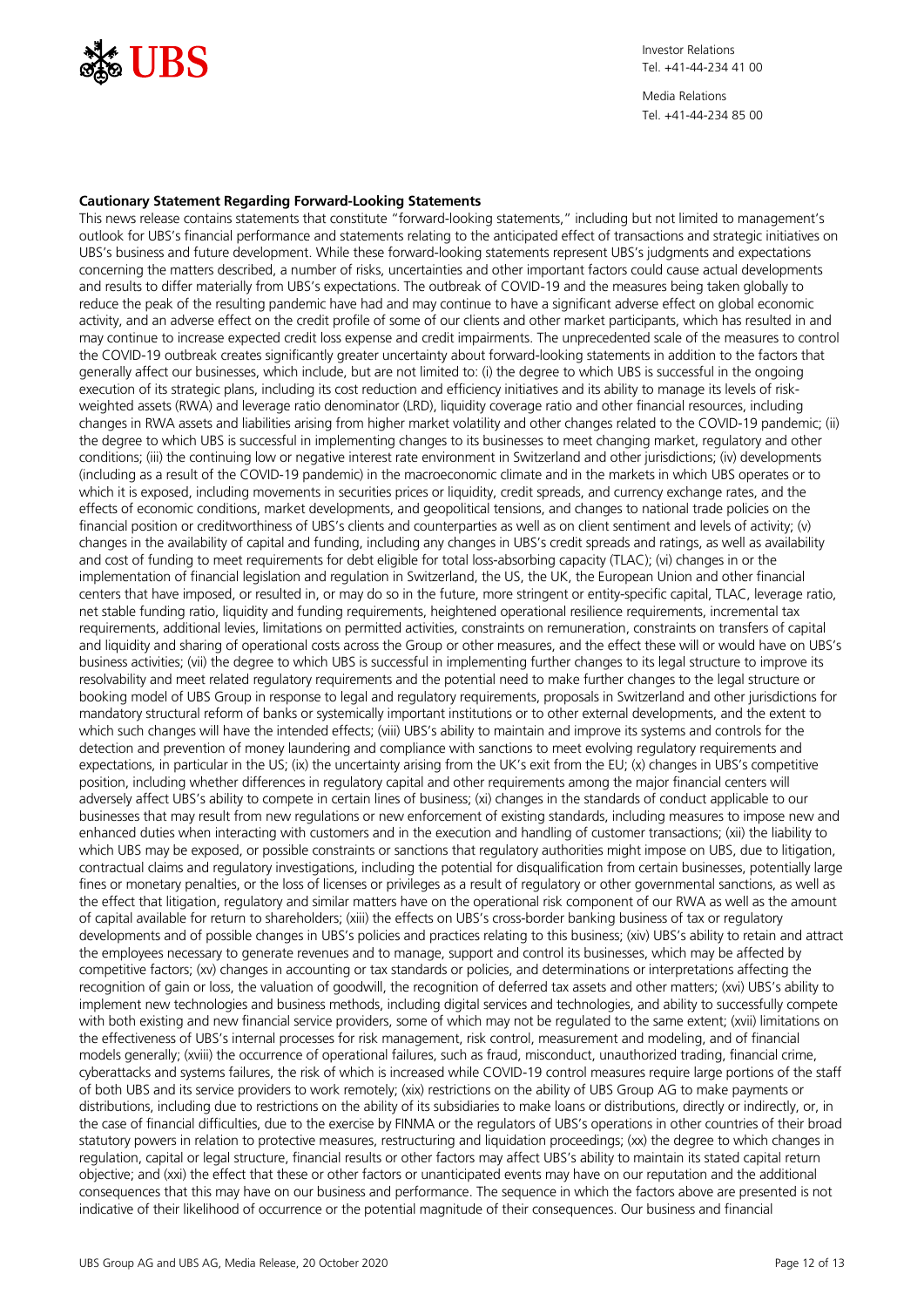

#### **Cautionary Statement Regarding Forward-Looking Statements**

This news release contains statements that constitute "forward-looking statements," including but not limited to management's outlook for UBS's financial performance and statements relating to the anticipated effect of transactions and strategic initiatives on UBS's business and future development. While these forward-looking statements represent UBS's judgments and expectations concerning the matters described, a number of risks, uncertainties and other important factors could cause actual developments and results to differ materially from UBS's expectations. The outbreak of COVID-19 and the measures being taken globally to reduce the peak of the resulting pandemic have had and may continue to have a significant adverse effect on global economic activity, and an adverse effect on the credit profile of some of our clients and other market participants, which has resulted in and may continue to increase expected credit loss expense and credit impairments. The unprecedented scale of the measures to control the COVID-19 outbreak creates significantly greater uncertainty about forward-looking statements in addition to the factors that generally affect our businesses, which include, but are not limited to: (i) the degree to which UBS is successful in the ongoing execution of its strategic plans, including its cost reduction and efficiency initiatives and its ability to manage its levels of riskweighted assets (RWA) and leverage ratio denominator (LRD), liquidity coverage ratio and other financial resources, including changes in RWA assets and liabilities arising from higher market volatility and other changes related to the COVID-19 pandemic; (ii) the degree to which UBS is successful in implementing changes to its businesses to meet changing market, regulatory and other conditions; (iii) the continuing low or negative interest rate environment in Switzerland and other jurisdictions; (iv) developments (including as a result of the COVID-19 pandemic) in the macroeconomic climate and in the markets in which UBS operates or to which it is exposed, including movements in securities prices or liquidity, credit spreads, and currency exchange rates, and the effects of economic conditions, market developments, and geopolitical tensions, and changes to national trade policies on the financial position or creditworthiness of UBS's clients and counterparties as well as on client sentiment and levels of activity; (v) changes in the availability of capital and funding, including any changes in UBS's credit spreads and ratings, as well as availability and cost of funding to meet requirements for debt eligible for total loss-absorbing capacity (TLAC); (vi) changes in or the implementation of financial legislation and regulation in Switzerland, the US, the UK, the European Union and other financial centers that have imposed, or resulted in, or may do so in the future, more stringent or entity-specific capital, TLAC, leverage ratio, net stable funding ratio, liquidity and funding requirements, heightened operational resilience requirements, incremental tax requirements, additional levies, limitations on permitted activities, constraints on remuneration, constraints on transfers of capital and liquidity and sharing of operational costs across the Group or other measures, and the effect these will or would have on UBS's business activities; (vii) the degree to which UBS is successful in implementing further changes to its legal structure to improve its resolvability and meet related regulatory requirements and the potential need to make further changes to the legal structure or booking model of UBS Group in response to legal and regulatory requirements, proposals in Switzerland and other jurisdictions for mandatory structural reform of banks or systemically important institutions or to other external developments, and the extent to which such changes will have the intended effects; (viii) UBS's ability to maintain and improve its systems and controls for the detection and prevention of money laundering and compliance with sanctions to meet evolving regulatory requirements and expectations, in particular in the US; (ix) the uncertainty arising from the UK's exit from the EU; (x) changes in UBS's competitive position, including whether differences in regulatory capital and other requirements among the major financial centers will adversely affect UBS's ability to compete in certain lines of business; (xi) changes in the standards of conduct applicable to our businesses that may result from new regulations or new enforcement of existing standards, including measures to impose new and enhanced duties when interacting with customers and in the execution and handling of customer transactions; (xii) the liability to which UBS may be exposed, or possible constraints or sanctions that regulatory authorities might impose on UBS, due to litigation, contractual claims and regulatory investigations, including the potential for disqualification from certain businesses, potentially large fines or monetary penalties, or the loss of licenses or privileges as a result of regulatory or other governmental sanctions, as well as the effect that litigation, regulatory and similar matters have on the operational risk component of our RWA as well as the amount of capital available for return to shareholders; (xiii) the effects on UBS's cross-border banking business of tax or regulatory developments and of possible changes in UBS's policies and practices relating to this business; (xiv) UBS's ability to retain and attract the employees necessary to generate revenues and to manage, support and control its businesses, which may be affected by competitive factors; (xv) changes in accounting or tax standards or policies, and determinations or interpretations affecting the recognition of gain or loss, the valuation of goodwill, the recognition of deferred tax assets and other matters; (xvi) UBS's ability to implement new technologies and business methods, including digital services and technologies, and ability to successfully compete with both existing and new financial service providers, some of which may not be regulated to the same extent; (xvii) limitations on the effectiveness of UBS's internal processes for risk management, risk control, measurement and modeling, and of financial models generally; (xviii) the occurrence of operational failures, such as fraud, misconduct, unauthorized trading, financial crime, cyberattacks and systems failures, the risk of which is increased while COVID-19 control measures require large portions of the staff of both UBS and its service providers to work remotely; (xix) restrictions on the ability of UBS Group AG to make payments or distributions, including due to restrictions on the ability of its subsidiaries to make loans or distributions, directly or indirectly, or, in the case of financial difficulties, due to the exercise by FINMA or the regulators of UBS's operations in other countries of their broad statutory powers in relation to protective measures, restructuring and liquidation proceedings; (xx) the degree to which changes in regulation, capital or legal structure, financial results or other factors may affect UBS's ability to maintain its stated capital return objective; and (xxi) the effect that these or other factors or unanticipated events may have on our reputation and the additional consequences that this may have on our business and performance. The sequence in which the factors above are presented is not indicative of their likelihood of occurrence or the potential magnitude of their consequences. Our business and financial